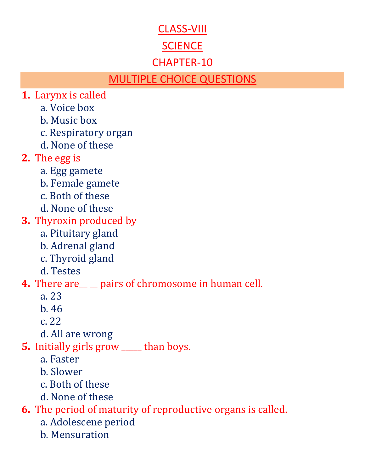#### CLASS-VIII

## **SCIENCE**

## CHAPTER-10

## MULTIPLE CHOICE QUESTIONS

- **1.** Larynx is called
	- a. Voice box
	- b. Music box
	- c. Respiratory organ
	- d. None of these
- **2.** The egg is
	- a. Egg gamete
	- b. Female gamete
	- c. Both of these
	- d. None of these
- **3.** Thyroxin produced by
	- a. Pituitary gland
	- b. Adrenal gland
	- c. Thyroid gland
	- d. Testes
- **4.** There are <u>equele</u> pairs of chromosome in human cell.
	- a. 23
	- b. 46
	- c. 22
	- d. All are wrong
- **5.** Initially girls grow \_\_\_\_\_ than boys.
	- a. Faster
	- b. Slower
	- c. Both of these
	- d. None of these

**6.** The period of maturity of reproductive organs is called.

- a. Adolescene period
- b. Mensuration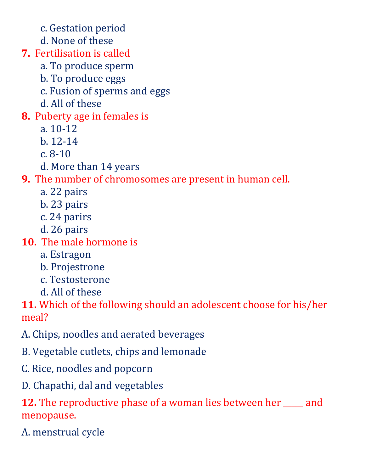- c. Gestation period
- d. None of these
- **7.** Fertilisation is called
	- a. To produce sperm
	- b. To produce eggs
	- c. Fusion of sperms and eggs
	- d. All of these
- **8.** Puberty age in females is
	- a. 10-12
	- b. 12-14
	- c. 8-10
	- d. More than 14 years

**9.** The number of chromosomes are present in human cell.

- a. 22 pairs
- b. 23 pairs
- c. 24 parirs
- d. 26 pairs
- **10.** The male hormone is
	- a. Estragon
	- b. Projestrone
	- c. Testosterone
	- d. All of these

**11.** Which of the following should an adolescent choose for his/her meal?

- A. Chips, noodles and aerated beverages
- B. Vegetable cutlets, chips and lemonade
- C. Rice, noodles and popcorn
- D. Chapathi, dal and vegetables

**12.** The reproductive phase of a woman lies between her \_\_\_\_\_ and menopause.

A. menstrual cycle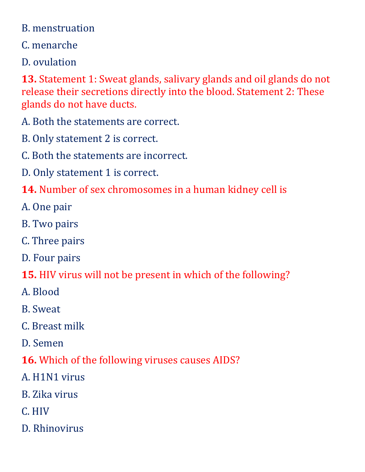#### B. menstruation

## C. menarche

D. ovulation

**13.** Statement 1: Sweat glands, salivary glands and oil glands do not release their secretions directly into the blood. Statement 2: These glands do not have ducts.

A. Both the statements are correct.

B. Only statement 2 is correct.

C. Both the statements are incorrect.

D. Only statement 1 is correct.

- **14.** Number of sex chromosomes in a human kidney cell is
- A. One pair
- B. Two pairs
- C. Three pairs
- D. Four pairs

**15.** HIV virus will not be present in which of the following?

- A. Blood
- B. Sweat
- C. Breast milk
- D. Semen

# **16.** Which of the following viruses causes AIDS?

- A. H1N1 virus
- B. Zika virus
- C. HIV
- D. Rhinovirus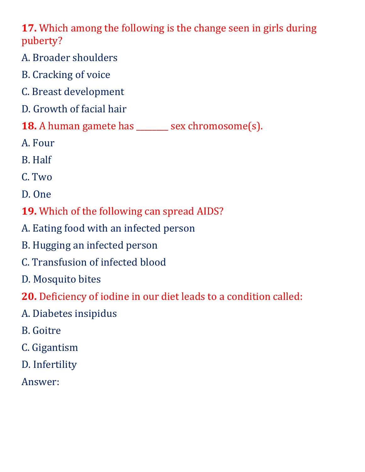**17.** Which among the following is the change seen in girls during puberty?

- A. Broader shoulders
- B. Cracking of voice
- C. Breast development
- D. Growth of facial hair
- **18.** A human gamete has \_\_\_\_\_\_\_\_ sex chromosome(s).
- A. Four
- B. Half
- C. Two
- D. One
- **19.** Which of the following can spread AIDS?
- A. Eating food with an infected person
- B. Hugging an infected person
- C. Transfusion of infected blood
- D. Mosquito bites
- **20.** Deficiency of iodine in our diet leads to a condition called:
- A. Diabetes insipidus
- B. Goitre
- C. Gigantism
- D. Infertility
- Answer: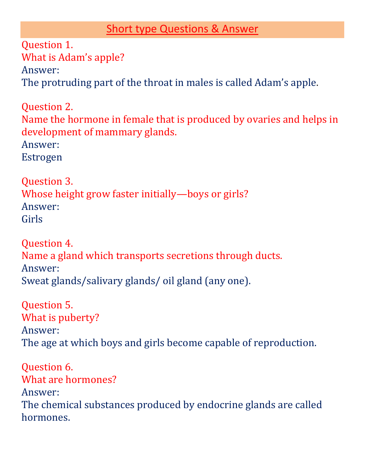## Short type Questions & Answer

Question 1. What is Adam's apple? Answer: The protruding part of the throat in males is called Adam's apple.

Question 2. Name the hormone in female that is produced by ovaries and helps in development of mammary glands. Answer: Estrogen

Question 3. Whose height grow faster initially—boys or girls? Answer: Girls

Question 4. Name a gland which transports secretions through ducts. Answer: Sweat glands/salivary glands/ oil gland (any one).

Question 5. What is puberty? Answer: The age at which boys and girls become capable of reproduction.

Question 6. What are hormones? Answer: The chemical substances produced by endocrine glands are called hormones.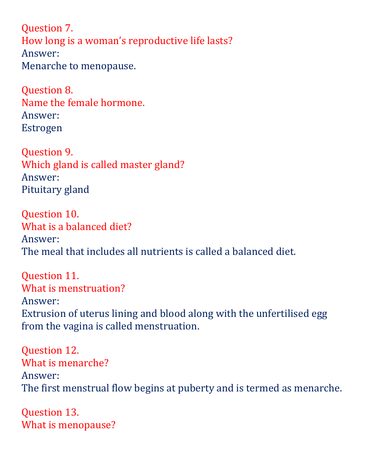Question 7. How long is a woman's reproductive life lasts? Answer: Menarche to menopause.

Question 8. Name the female hormone. Answer: Estrogen

Question 9. Which gland is called master gland? Answer: Pituitary gland

Question 10. What is a balanced diet? Answer: The meal that includes all nutrients is called a balanced diet.

Question 11. What is menstruation? Answer: Extrusion of uterus lining and blood along with the unfertilised egg from the vagina is called menstruation.

Question 12. What is menarche? Answer: The first menstrual flow begins at puberty and is termed as menarche.

Question 13. What is menopause?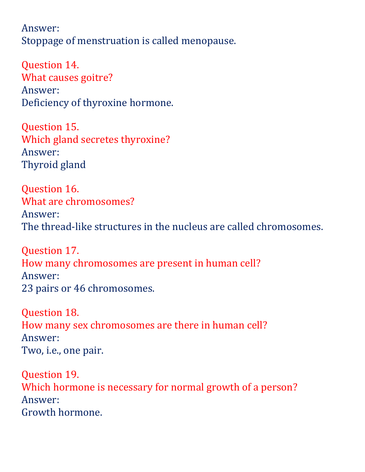Answer: Stoppage of menstruation is called menopause.

Question 14. What causes goitre? Answer: Deficiency of thyroxine hormone.

Question 15. Which gland secretes thyroxine? Answer: Thyroid gland

Question 16. What are chromosomes? Answer: The thread-like structures in the nucleus are called chromosomes.

Question 17. How many chromosomes are present in human cell? Answer: 23 pairs or 46 chromosomes.

Question 18. How many sex chromosomes are there in human cell? Answer: Two, i.e., one pair.

Question 19. Which hormone is necessary for normal growth of a person? Answer: Growth hormone.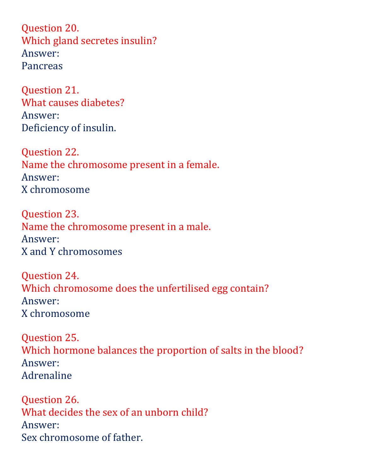Question 20. Which gland secretes insulin? Answer: Pancreas

Question 21. What causes diabetes? Answer: Deficiency of insulin.

Question 22. Name the chromosome present in a female. Answer: X chromosome

Question 23. Name the chromosome present in a male. Answer: X and Y chromosomes

Question 24. Which chromosome does the unfertilised egg contain? Answer: X chromosome

Question 25. Which hormone balances the proportion of salts in the blood? Answer: Adrenaline

Question 26. What decides the sex of an unborn child? Answer: Sex chromosome of father.